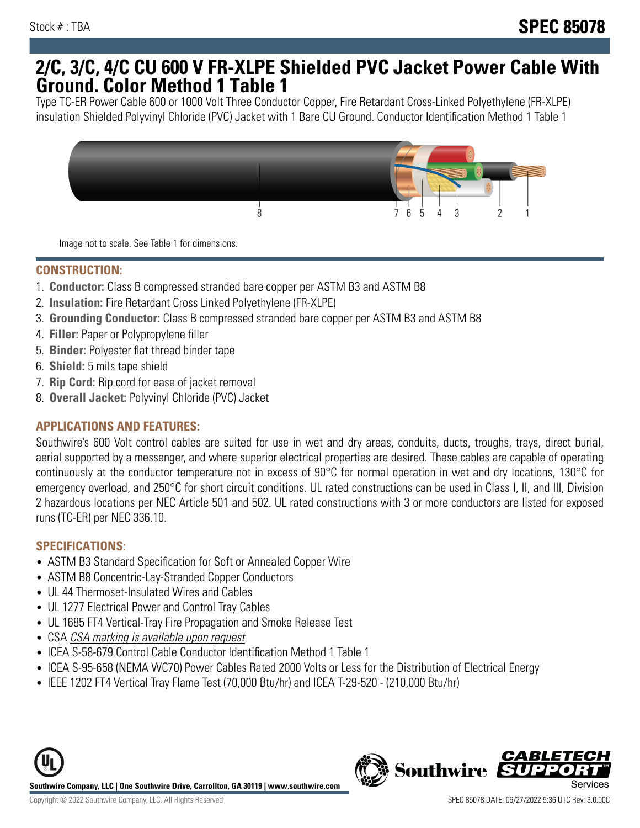## **2/C, 3/C, 4/C CU 600 V FR-XLPE Shielded PVC Jacket Power Cable With Ground. Color Method 1 Table 1**

Type TC-ER Power Cable 600 or 1000 Volt Three Conductor Copper, Fire Retardant Cross-Linked Polyethylene (FR-XLPE) insulation Shielded Polyvinyl Chloride (PVC) Jacket with 1 Bare CU Ground. Conductor Identification Method 1 Table 1



Image not to scale. See Table 1 for dimensions.

#### **CONSTRUCTION:**

- 1. **Conductor:** Class B compressed stranded bare copper per ASTM B3 and ASTM B8
- 2. **Insulation:** Fire Retardant Cross Linked Polyethylene (FR-XLPE)
- 3. **Grounding Conductor:** Class B compressed stranded bare copper per ASTM B3 and ASTM B8
- 4. **Filler:** Paper or Polypropylene filler
- 5. **Binder:** Polyester flat thread binder tape
- 6. **Shield:** 5 mils tape shield
- 7. **Rip Cord:** Rip cord for ease of jacket removal
- 8. **Overall Jacket:** Polyvinyl Chloride (PVC) Jacket

### **APPLICATIONS AND FEATURES:**

Southwire's 600 Volt control cables are suited for use in wet and dry areas, conduits, ducts, troughs, trays, direct burial, aerial supported by a messenger, and where superior electrical properties are desired. These cables are capable of operating continuously at the conductor temperature not in excess of 90°C for normal operation in wet and dry locations, 130°C for emergency overload, and 250°C for short circuit conditions. UL rated constructions can be used in Class I, II, and III, Division 2 hazardous locations per NEC Article 501 and 502. UL rated constructions with 3 or more conductors are listed for exposed runs (TC-ER) per NEC 336.10.

#### **SPECIFICATIONS:**

- ASTM B3 Standard Specification for Soft or Annealed Copper Wire
- ASTM B8 Concentric-Lay-Stranded Copper Conductors
- UL 44 Thermoset-Insulated Wires and Cables
- UL 1277 Electrical Power and Control Tray Cables
- UL 1685 FT4 Vertical-Tray Fire Propagation and Smoke Release Test
- CSA CSA marking is available upon request
- ICEA S-58-679 Control Cable Conductor Identification Method 1 Table 1
- ICEA S-95-658 (NEMA WC70) Power Cables Rated 2000 Volts or Less for the Distribution of Electrical Energy
- IEEE 1202 FT4 Vertical Tray Flame Test (70,000 Btu/hr) and ICEA T-29-520 (210,000 Btu/hr)



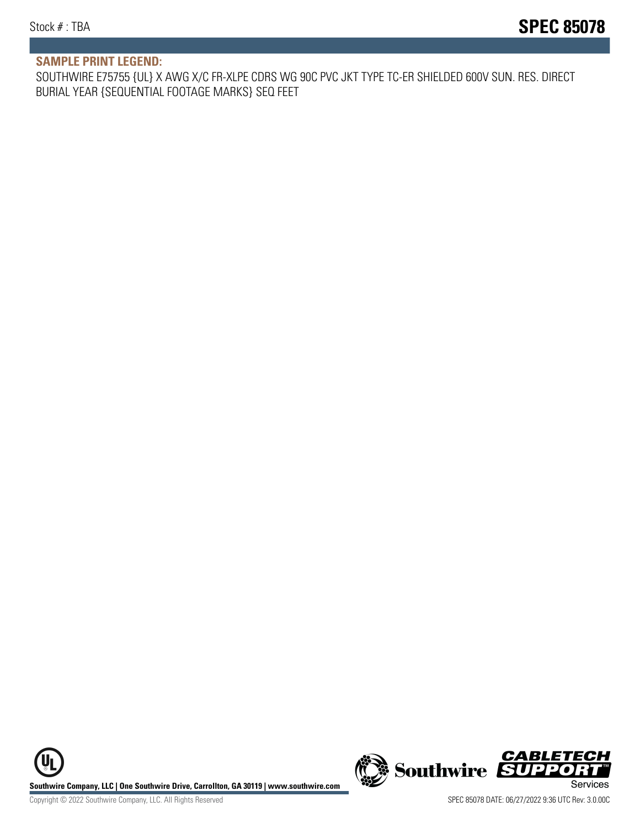#### **SAMPLE PRINT LEGEND:**

SOUTHWIRE E75755 {UL} X AWG X/C FR-XLPE CDRS WG 90C PVC JKT TYPE TC-ER SHIELDED 600V SUN. RES. DIRECT BURIAL YEAR {SEQUENTIAL FOOTAGE MARKS} SEQ FEET

UL **Southwire Company, LLC | One Southwire Drive, Carrollton, GA 30119 | www.southwire.com (New Southwire SUPPORTI**